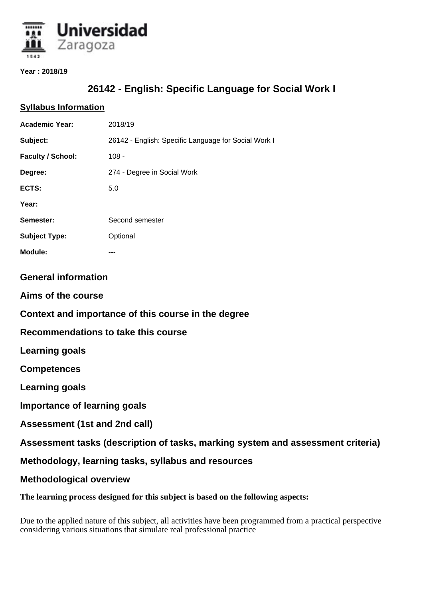

#### **Year : 2018/19**

# **26142 - English: Specific Language for Social Work I**

## **Syllabus Information**

| <b>Academic Year:</b>                                                             | 2018/19                                              |
|-----------------------------------------------------------------------------------|------------------------------------------------------|
| Subject:                                                                          | 26142 - English: Specific Language for Social Work I |
| <b>Faculty / School:</b>                                                          | $108 -$                                              |
| Degree:                                                                           | 274 - Degree in Social Work                          |
| ECTS:                                                                             | 5.0                                                  |
| Year:                                                                             |                                                      |
| Semester:                                                                         | Second semester                                      |
| <b>Subject Type:</b>                                                              | Optional                                             |
| <b>Module:</b>                                                                    | ---                                                  |
| <b>General information</b>                                                        |                                                      |
| Aims of the course                                                                |                                                      |
| Context and importance of this course in the degree                               |                                                      |
| Recommendations to take this course                                               |                                                      |
| <b>Learning goals</b>                                                             |                                                      |
| <b>Competences</b>                                                                |                                                      |
| <b>Learning goals</b>                                                             |                                                      |
| <b>Importance of learning goals</b>                                               |                                                      |
| Assessment (1st and 2nd call)                                                     |                                                      |
| Assessment tasks (description of tasks, marking system and assessment criteria)   |                                                      |
| Methodology, learning tasks, syllabus and resources                               |                                                      |
| <b>Methodological overview</b>                                                    |                                                      |
| The learning process designed for this subject is based on the following aspects: |                                                      |

Due to the applied nature of this subject, all activities have been programmed from a practical perspective considering various situations that simulate real professional practice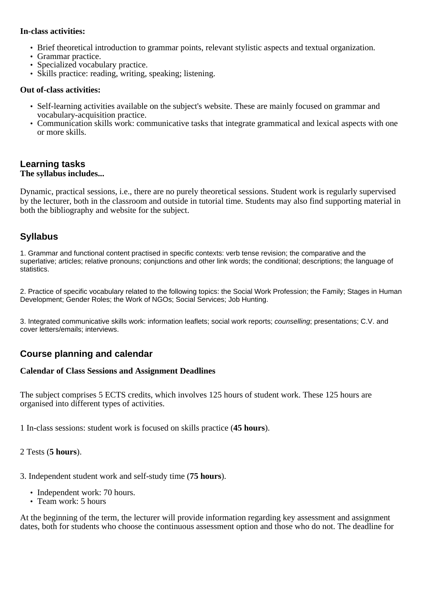### **In-class activities:**

- Brief theoretical introduction to grammar points, relevant stylistic aspects and textual organization.
- Grammar practice.
- Specialized vocabulary practice.
- Skills practice: reading, writing, speaking; listening.

### **Out of-class activities:**

- Self-learning activities available on the subject's website. These are mainly focused on grammar and vocabulary-acquisition practice.
- Communication skills work: communicative tasks that integrate grammatical and lexical aspects with one or more skills.

## **Learning tasks The syllabus includes...**

Dynamic, practical sessions, i.e., there are no purely theoretical sessions. Student work is regularly supervised by the lecturer, both in the classroom and outside in tutorial time. Students may also find supporting material in both the bibliography and website for the subject.

# **Syllabus**

1. Grammar and functional content practised in specific contexts: verb tense revision; the comparative and the superlative; articles; relative pronouns; conjunctions and other link words; the conditional; descriptions; the language of statistics.

2. Practice of specific vocabulary related to the following topics: the Social Work Profession; the Family; Stages in Human Development; Gender Roles; the Work of NGOs; Social Services; Job Hunting.

3. Integrated communicative skills work: information leaflets; social work reports; counselling; presentations; C.V. and cover letters/emails; interviews.

## **Course planning and calendar**

### **Calendar of Class Sessions and Assignment Deadlines**

The subject comprises 5 ECTS credits, which involves 125 hours of student work. These 125 hours are organised into different types of activities.

1 In-class sessions: student work is focused on skills practice (**45 hours**).

2 Tests (**5 hours**).

3. Independent student work and self-study time (**75 hours**).

- Independent work: 70 hours.
- Team work: 5 hours

At the beginning of the term, the lecturer will provide information regarding key assessment and assignment dates, both for students who choose the continuous assessment option and those who do not. The deadline for